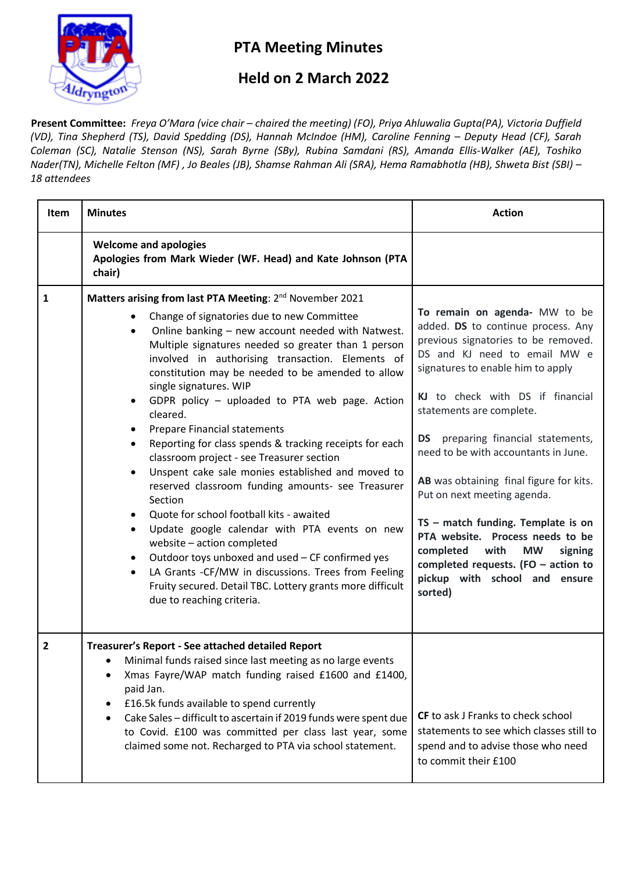

## **PTA Meeting Minutes**

## **Held on 2 March 2022**

**Present Committee:** *Freya O'Mara (vice chair – chaired the meeting) (FO), Priya Ahluwalia Gupta(PA), Victoria Duffield (VD), Tina Shepherd (TS), David Spedding (DS), Hannah McIndoe (HM), Caroline Fenning - Deputy Head (CF), Sarah Coleman (SC), Natalie Stenson (NS), Sarah Byrne (SBy), Rubina Samdani (RS), Amanda Ellis-Walker (AE), Toshiko Nader(TN), Michelle Felton (MF) , Jo Beales (JB), Shamse Rahman Ali (SRA), Hema Ramabhotla (HB), Shweta Bist (SBI) – 18 attendees*

| Item                    | <b>Minutes</b>                                                                                                                                                                                                                                                                                                                                                                                                                                                                                                                                                                                                                                                                                                                                                                                                                                                                                                                                                                                                                                                     | <b>Action</b>                                                                                                                                                                                                                                                                                                                                                                                                                                                                                                                                                                                                       |
|-------------------------|--------------------------------------------------------------------------------------------------------------------------------------------------------------------------------------------------------------------------------------------------------------------------------------------------------------------------------------------------------------------------------------------------------------------------------------------------------------------------------------------------------------------------------------------------------------------------------------------------------------------------------------------------------------------------------------------------------------------------------------------------------------------------------------------------------------------------------------------------------------------------------------------------------------------------------------------------------------------------------------------------------------------------------------------------------------------|---------------------------------------------------------------------------------------------------------------------------------------------------------------------------------------------------------------------------------------------------------------------------------------------------------------------------------------------------------------------------------------------------------------------------------------------------------------------------------------------------------------------------------------------------------------------------------------------------------------------|
|                         | <b>Welcome and apologies</b><br>Apologies from Mark Wieder (WF. Head) and Kate Johnson (PTA<br>chair)                                                                                                                                                                                                                                                                                                                                                                                                                                                                                                                                                                                                                                                                                                                                                                                                                                                                                                                                                              |                                                                                                                                                                                                                                                                                                                                                                                                                                                                                                                                                                                                                     |
| 1                       | Matters arising from last PTA Meeting: 2 <sup>nd</sup> November 2021<br>Change of signatories due to new Committee<br>Online banking - new account needed with Natwest.<br>$\bullet$<br>Multiple signatures needed so greater than 1 person<br>involved in authorising transaction. Elements of<br>constitution may be needed to be amended to allow<br>single signatures. WIP<br>GDPR policy - uploaded to PTA web page. Action<br>$\bullet$<br>cleared.<br><b>Prepare Financial statements</b><br>Reporting for class spends & tracking receipts for each<br>classroom project - see Treasurer section<br>Unspent cake sale monies established and moved to<br>reserved classroom funding amounts- see Treasurer<br>Section<br>Quote for school football kits - awaited<br>Update google calendar with PTA events on new<br>website - action completed<br>Outdoor toys unboxed and used - CF confirmed yes<br>LA Grants -CF/MW in discussions. Trees from Feeling<br>٠<br>Fruity secured. Detail TBC. Lottery grants more difficult<br>due to reaching criteria. | To remain on agenda- MW to be<br>added. DS to continue process. Any<br>previous signatories to be removed.<br>DS and KJ need to email MW e<br>signatures to enable him to apply<br>KJ to check with DS if financial<br>statements are complete.<br>DS preparing financial statements,<br>need to be with accountants in June.<br>AB was obtaining final figure for kits.<br>Put on next meeting agenda.<br>TS - match funding. Template is on<br>PTA website. Process needs to be<br>completed<br>with<br><b>MW</b><br>signing<br>completed requests. (FO $-$ action to<br>pickup with school and ensure<br>sorted) |
| $\overline{\mathbf{c}}$ | Treasurer's Report - See attached detailed Report<br>• Minimal funds raised since last meeting as no large events<br>Xmas Fayre/WAP match funding raised £1600 and £1400,<br>paid Jan.<br>£16.5k funds available to spend currently<br>٠<br>Cake Sales - difficult to ascertain if 2019 funds were spent due<br>$\bullet$<br>to Covid. £100 was committed per class last year, some<br>claimed some not. Recharged to PTA via school statement.                                                                                                                                                                                                                                                                                                                                                                                                                                                                                                                                                                                                                    | <b>CF</b> to ask J Franks to check school<br>statements to see which classes still to<br>spend and to advise those who need<br>to commit their £100                                                                                                                                                                                                                                                                                                                                                                                                                                                                 |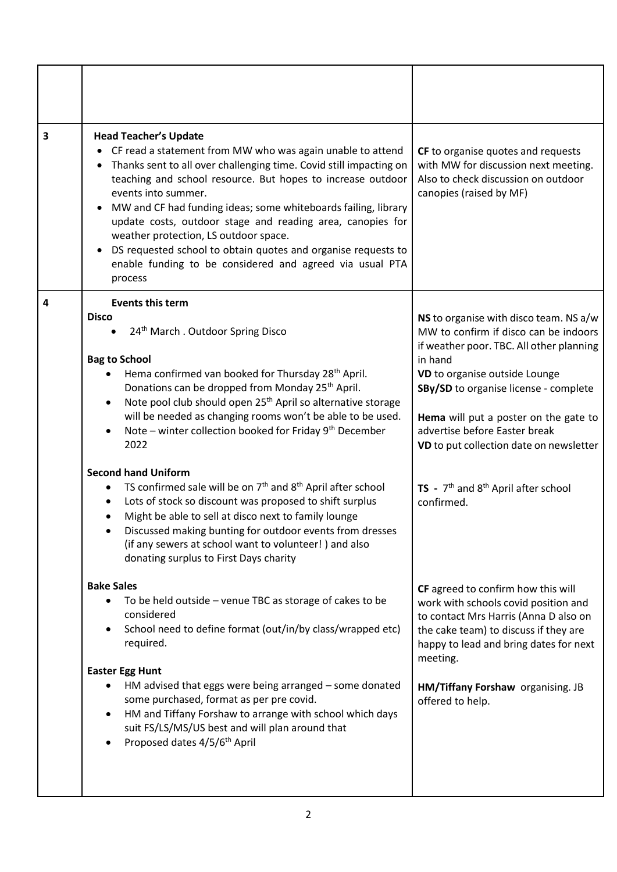| 3 | <b>Head Teacher's Update</b><br>• CF read a statement from MW who was again unable to attend<br>• Thanks sent to all over challenging time. Covid still impacting on<br>teaching and school resource. But hopes to increase outdoor<br>events into summer.<br>MW and CF had funding ideas; some whiteboards failing, library<br>update costs, outdoor stage and reading area, canopies for<br>weather protection, LS outdoor space.<br>DS requested school to obtain quotes and organise requests to<br>enable funding to be considered and agreed via usual PTA<br>process                                                                                                                                                                                                                                                                                                                                             | CF to organise quotes and requests<br>with MW for discussion next meeting.<br>Also to check discussion on outdoor<br>canopies (raised by MF)                                                                                                                                                                                                                                                                       |  |
|---|-------------------------------------------------------------------------------------------------------------------------------------------------------------------------------------------------------------------------------------------------------------------------------------------------------------------------------------------------------------------------------------------------------------------------------------------------------------------------------------------------------------------------------------------------------------------------------------------------------------------------------------------------------------------------------------------------------------------------------------------------------------------------------------------------------------------------------------------------------------------------------------------------------------------------|--------------------------------------------------------------------------------------------------------------------------------------------------------------------------------------------------------------------------------------------------------------------------------------------------------------------------------------------------------------------------------------------------------------------|--|
| 4 | <b>Events this term</b><br><b>Disco</b><br>24 <sup>th</sup> March . Outdoor Spring Disco<br><b>Bag to School</b><br>Hema confirmed van booked for Thursday 28 <sup>th</sup> April.<br>Donations can be dropped from Monday 25 <sup>th</sup> April.<br>Note pool club should open 25 <sup>th</sup> April so alternative storage<br>$\bullet$<br>will be needed as changing rooms won't be able to be used.<br>Note – winter collection booked for Friday 9 <sup>th</sup> December<br>$\bullet$<br>2022<br><b>Second hand Uniform</b><br>TS confirmed sale will be on $7th$ and $8th$ April after school<br>٠<br>Lots of stock so discount was proposed to shift surplus<br>$\bullet$<br>Might be able to sell at disco next to family lounge<br>$\bullet$<br>Discussed making bunting for outdoor events from dresses<br>(if any sewers at school want to volunteer!) and also<br>donating surplus to First Days charity | NS to organise with disco team. NS a/w<br>MW to confirm if disco can be indoors<br>if weather poor. TBC. All other planning<br>in hand<br>VD to organise outside Lounge<br>SBy/SD to organise license - complete<br>Hema will put a poster on the gate to<br>advertise before Easter break<br>VD to put collection date on newsletter<br>TS - 7 <sup>th</sup> and 8 <sup>th</sup> April after school<br>confirmed. |  |
|   | <b>Bake Sales</b><br>To be held outside - venue TBC as storage of cakes to be<br>$\bullet$<br>considered<br>School need to define format (out/in/by class/wrapped etc)<br>$\bullet$<br>required.<br><b>Easter Egg Hunt</b><br>HM advised that eggs were being arranged - some donated<br>$\bullet$<br>some purchased, format as per pre covid.<br>HM and Tiffany Forshaw to arrange with school which days<br>$\bullet$<br>suit FS/LS/MS/US best and will plan around that<br>Proposed dates 4/5/6 <sup>th</sup> April<br>$\bullet$                                                                                                                                                                                                                                                                                                                                                                                     | CF agreed to confirm how this will<br>work with schools covid position and<br>to contact Mrs Harris (Anna D also on<br>the cake team) to discuss if they are<br>happy to lead and bring dates for next<br>meeting.<br>HM/Tiffany Forshaw organising. JB<br>offered to help.                                                                                                                                        |  |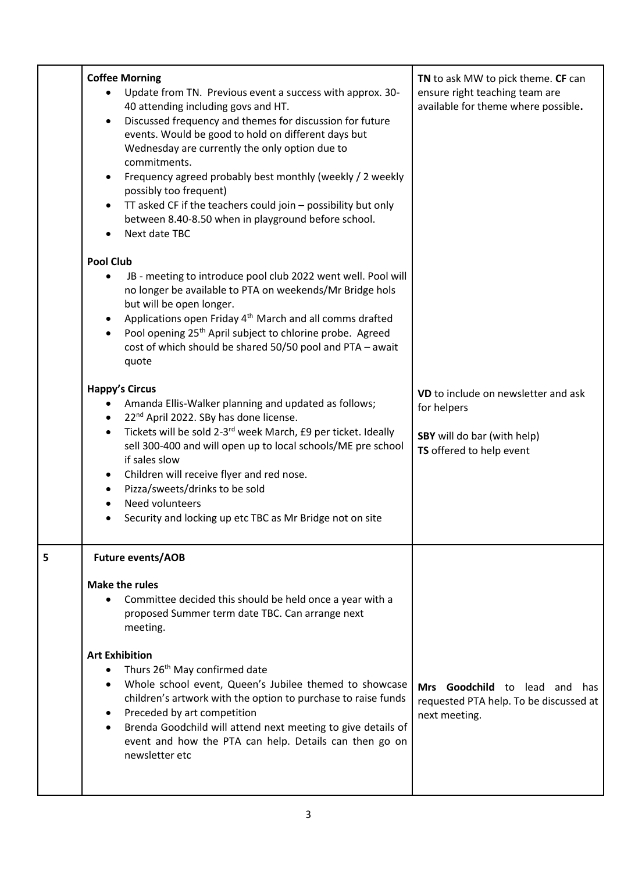|   | <b>Coffee Morning</b><br>Update from TN. Previous event a success with approx. 30-<br>40 attending including govs and HT.<br>Discussed frequency and themes for discussion for future<br>events. Would be good to hold on different days but<br>Wednesday are currently the only option due to<br>commitments.<br>Frequency agreed probably best monthly (weekly / 2 weekly<br>possibly too frequent)<br>TT asked CF if the teachers could join - possibility but only<br>between 8.40-8.50 when in playground before school.<br>Next date TBC                                     | TN to ask MW to pick theme. CF can<br>ensure right teaching team are<br>available for theme where possible.   |
|---|------------------------------------------------------------------------------------------------------------------------------------------------------------------------------------------------------------------------------------------------------------------------------------------------------------------------------------------------------------------------------------------------------------------------------------------------------------------------------------------------------------------------------------------------------------------------------------|---------------------------------------------------------------------------------------------------------------|
|   | <b>Pool Club</b><br>JB - meeting to introduce pool club 2022 went well. Pool will<br>no longer be available to PTA on weekends/Mr Bridge hols<br>but will be open longer.<br>Applications open Friday 4 <sup>th</sup> March and all comms drafted<br>Pool opening 25 <sup>th</sup> April subject to chlorine probe. Agreed<br>cost of which should be shared 50/50 pool and PTA - await<br>quote                                                                                                                                                                                   |                                                                                                               |
|   | <b>Happy's Circus</b><br>Amanda Ellis-Walker planning and updated as follows;<br>22 <sup>nd</sup> April 2022. SBy has done license.<br>Tickets will be sold 2-3 <sup>rd</sup> week March, £9 per ticket. Ideally<br>$\bullet$<br>sell 300-400 and will open up to local schools/ME pre school<br>if sales slow<br>Children will receive flyer and red nose.<br>٠<br>Pizza/sweets/drinks to be sold<br>$\bullet$<br>Need volunteers<br>$\bullet$<br>Security and locking up etc TBC as Mr Bridge not on site                                                                        | VD to include on newsletter and ask<br>for helpers<br>SBY will do bar (with help)<br>TS offered to help event |
| 5 | <b>Future events/AOB</b><br><b>Make the rules</b><br>Committee decided this should be held once a year with a<br>proposed Summer term date TBC. Can arrange next<br>meeting.<br><b>Art Exhibition</b><br>Thurs 26 <sup>th</sup> May confirmed date<br>Whole school event, Queen's Jubilee themed to showcase<br>children's artwork with the option to purchase to raise funds<br>Preceded by art competition<br>$\bullet$<br>Brenda Goodchild will attend next meeting to give details of<br>$\bullet$<br>event and how the PTA can help. Details can then go on<br>newsletter etc | Mrs Goodchild to lead and<br>has.<br>requested PTA help. To be discussed at<br>next meeting.                  |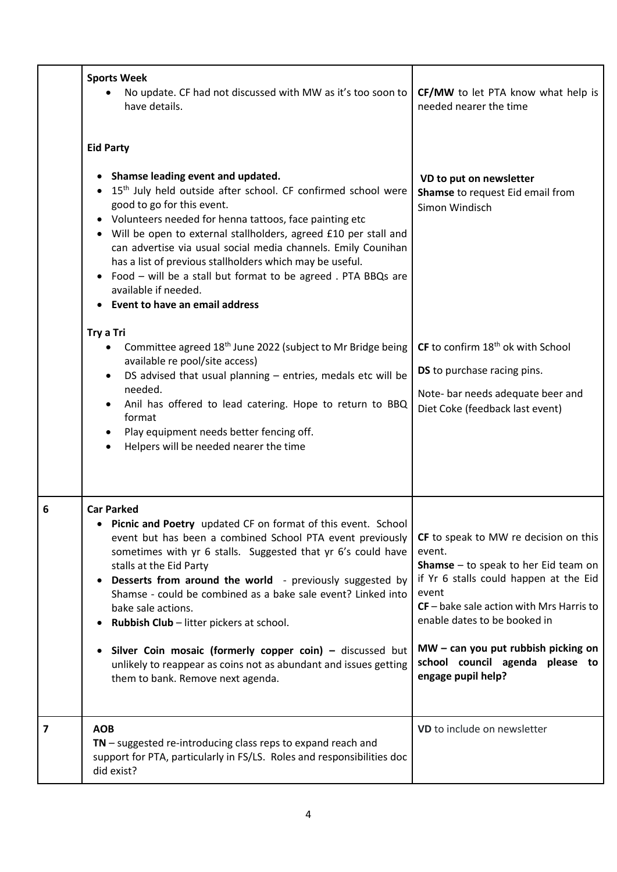|                         | <b>Sports Week</b><br>No update. CF had not discussed with MW as it's too soon to<br>have details.                                                                                                                                                                                                                                                                                                                                                                                                                                                                                                                                                                       | CF/MW to let PTA know what help is<br>needed nearer the time                                                                                                                                                                                                                                                                        |  |
|-------------------------|--------------------------------------------------------------------------------------------------------------------------------------------------------------------------------------------------------------------------------------------------------------------------------------------------------------------------------------------------------------------------------------------------------------------------------------------------------------------------------------------------------------------------------------------------------------------------------------------------------------------------------------------------------------------------|-------------------------------------------------------------------------------------------------------------------------------------------------------------------------------------------------------------------------------------------------------------------------------------------------------------------------------------|--|
|                         | <b>Eid Party</b><br>Shamse leading event and updated.<br>15 <sup>th</sup> July held outside after school. CF confirmed school were<br>good to go for this event.<br>Volunteers needed for henna tattoos, face painting etc<br>• Will be open to external stallholders, agreed £10 per stall and<br>can advertise via usual social media channels. Emily Counihan<br>has a list of previous stallholders which may be useful.<br>Food - will be a stall but format to be agreed. PTA BBQs are<br>$\bullet$<br>available if needed.<br>Event to have an email address<br>Try a Tri<br>Committee agreed 18 <sup>th</sup> June 2022 (subject to Mr Bridge being<br>$\bullet$ | VD to put on newsletter<br>Shamse to request Eid email from<br>Simon Windisch<br>CF to confirm 18 <sup>th</sup> ok with School                                                                                                                                                                                                      |  |
|                         | available re pool/site access)<br>DS advised that usual planning - entries, medals etc will be<br>needed.<br>Anil has offered to lead catering. Hope to return to BBQ<br>format<br>Play equipment needs better fencing off.<br>Helpers will be needed nearer the time                                                                                                                                                                                                                                                                                                                                                                                                    | <b>DS</b> to purchase racing pins.<br>Note- bar needs adequate beer and<br>Diet Coke (feedback last event)                                                                                                                                                                                                                          |  |
| 6                       | <b>Car Parked</b><br>Picnic and Poetry updated CF on format of this event. School<br>event but has been a combined School PTA event previously<br>sometimes with yr 6 stalls. Suggested that yr 6's could have<br>stalls at the Eid Party<br>Desserts from around the world - previously suggested by<br>Shamse - could be combined as a bake sale event? Linked into<br>bake sale actions.<br>Rubbish Club - litter pickers at school.<br>Silver Coin mosaic (formerly copper coin) - discussed but<br>unlikely to reappear as coins not as abundant and issues getting<br>them to bank. Remove next agenda.                                                            | CF to speak to MW re decision on this<br>event.<br><b>Shamse</b> $-$ to speak to her Eid team on<br>if Yr 6 stalls could happen at the Eid<br>event<br>$CF$ – bake sale action with Mrs Harris to<br>enable dates to be booked in<br>$MW - can you put rubbish picking on$<br>school council agenda please to<br>engage pupil help? |  |
| $\overline{\mathbf{z}}$ | <b>AOB</b><br>$TN$ – suggested re-introducing class reps to expand reach and<br>support for PTA, particularly in FS/LS. Roles and responsibilities doc<br>did exist?                                                                                                                                                                                                                                                                                                                                                                                                                                                                                                     | VD to include on newsletter                                                                                                                                                                                                                                                                                                         |  |